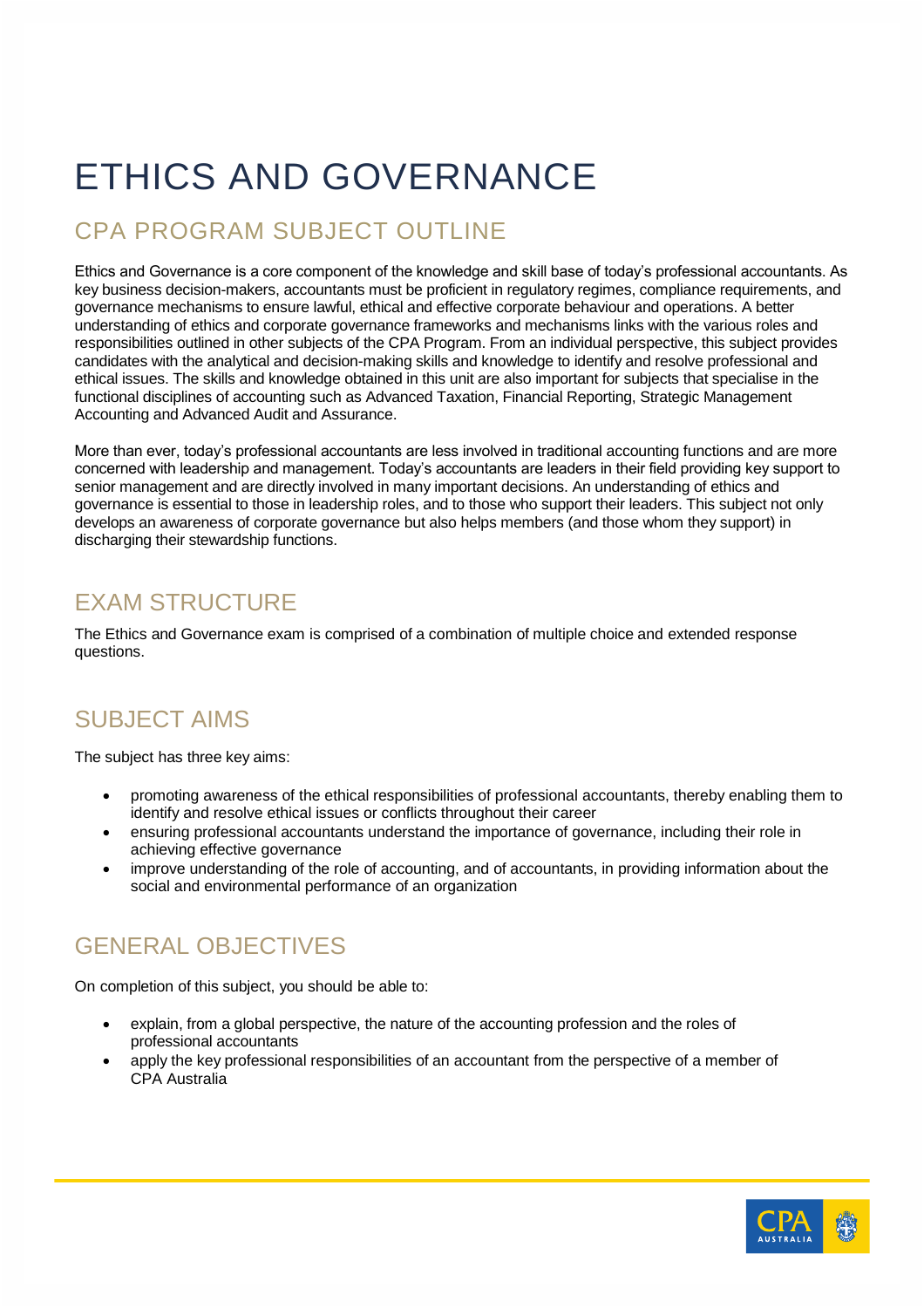# ETHICS AND GOVERNANCE

## CPA PROGRAM SUBJECT OUTLINE

Ethics and Governance is a core component of the knowledge and skill base of today's professional accountants. As key business decision-makers, accountants must be proficient in regulatory regimes, compliance requirements, and governance mechanisms to ensure lawful, ethical and effective corporate behaviour and operations. A better understanding of ethics and corporate governance frameworks and mechanisms links with the various roles and responsibilities outlined in other subjects of the CPA Program. From an individual perspective, this subject provides candidates with the analytical and decision-making skills and knowledge to identify and resolve professional and ethical issues. The skills and knowledge obtained in this unit are also important for subjects that specialise in the functional disciplines of accounting such as Advanced Taxation, Financial Reporting, Strategic Management Accounting and Advanced Audit and Assurance.

More than ever, today's professional accountants are less involved in traditional accounting functions and are more concerned with leadership and management. Today's accountants are leaders in their field providing key support to senior management and are directly involved in many important decisions. An understanding of ethics and governance is essential to those in leadership roles, and to those who support their leaders. This subject not only develops an awareness of corporate governance but also helps members (and those whom they support) in discharging their stewardship functions.

## EXAM STRUCTURE

The Ethics and Governance exam is comprised of a combination of multiple choice and extended response questions.

#### SUBJECT AIMS

The subject has three key aims:

- promoting awareness of the ethical responsibilities of professional accountants, thereby enabling them to identify and resolve ethical issues or conflicts throughout their career
- ensuring professional accountants understand the importance of governance, including their role in achieving effective governance
- improve understanding of the role of accounting, and of accountants, in providing information about the social and environmental performance of an organization

# GENERAL OBJECTIVES

On completion of this subject, you should be able to:

- explain, from a global perspective, the nature of the accounting profession and the roles of professional accountants
- apply the key professional responsibilities of an accountant from the perspective of a member of CPA Australia

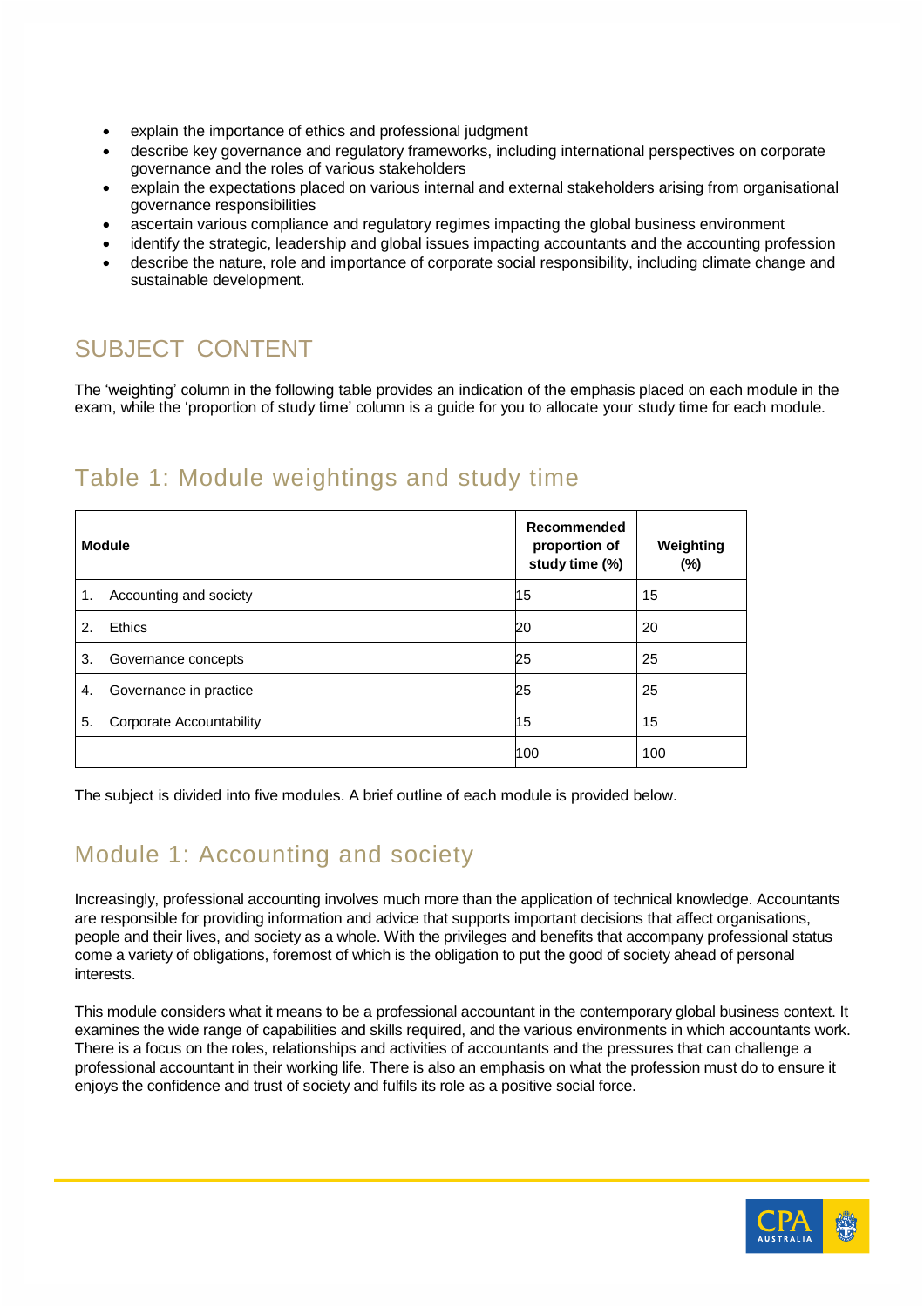- explain the importance of ethics and professional judgment
- describe key governance and regulatory frameworks, including international perspectives on corporate governance and the roles of various stakeholders
- explain the expectations placed on various internal and external stakeholders arising from organisational governance responsibilities
- ascertain various compliance and regulatory regimes impacting the global business environment
- identify the strategic, leadership and global issues impacting accountants and the accounting profession
- describe the nature, role and importance of corporate social responsibility, including climate change and sustainable development.

# SUBJECT CONTENT

The 'weighting' column in the following table provides an indication of the emphasis placed on each module in the exam, while the 'proportion of study time' column is a guide for you to allocate your study time for each module.

#### Table 1: Module weightings and study time

| <b>Module</b>                   | Recommended<br>proportion of<br>study time (%) | Weighting<br>$(\%)$ |
|---------------------------------|------------------------------------------------|---------------------|
| Accounting and society<br>1.    | 15                                             | 15                  |
| Ethics<br>$\mathcal{P}_{\cdot}$ | 20                                             | 20                  |
| 3.<br>Governance concepts       | 25                                             | 25                  |
| Governance in practice<br>4.    | 25                                             | 25                  |
| 5.<br>Corporate Accountability  | 15                                             | 15                  |
|                                 | 100                                            | 100                 |

The subject is divided into five modules. A brief outline of each module is provided below.

## Module 1: Accounting and society

Increasingly, professional accounting involves much more than the application of technical knowledge. Accountants are responsible for providing information and advice that supports important decisions that affect organisations, people and their lives, and society as a whole. With the privileges and benefits that accompany professional status come a variety of obligations, foremost of which is the obligation to put the good of society ahead of personal interests.

This module considers what it means to be a professional accountant in the contemporary global business context. It examines the wide range of capabilities and skills required, and the various environments in which accountants work. There is a focus on the roles, relationships and activities of accountants and the pressures that can challenge a professional accountant in their working life. There is also an emphasis on what the profession must do to ensure it enjoys the confidence and trust of society and fulfils its role as a positive social force.

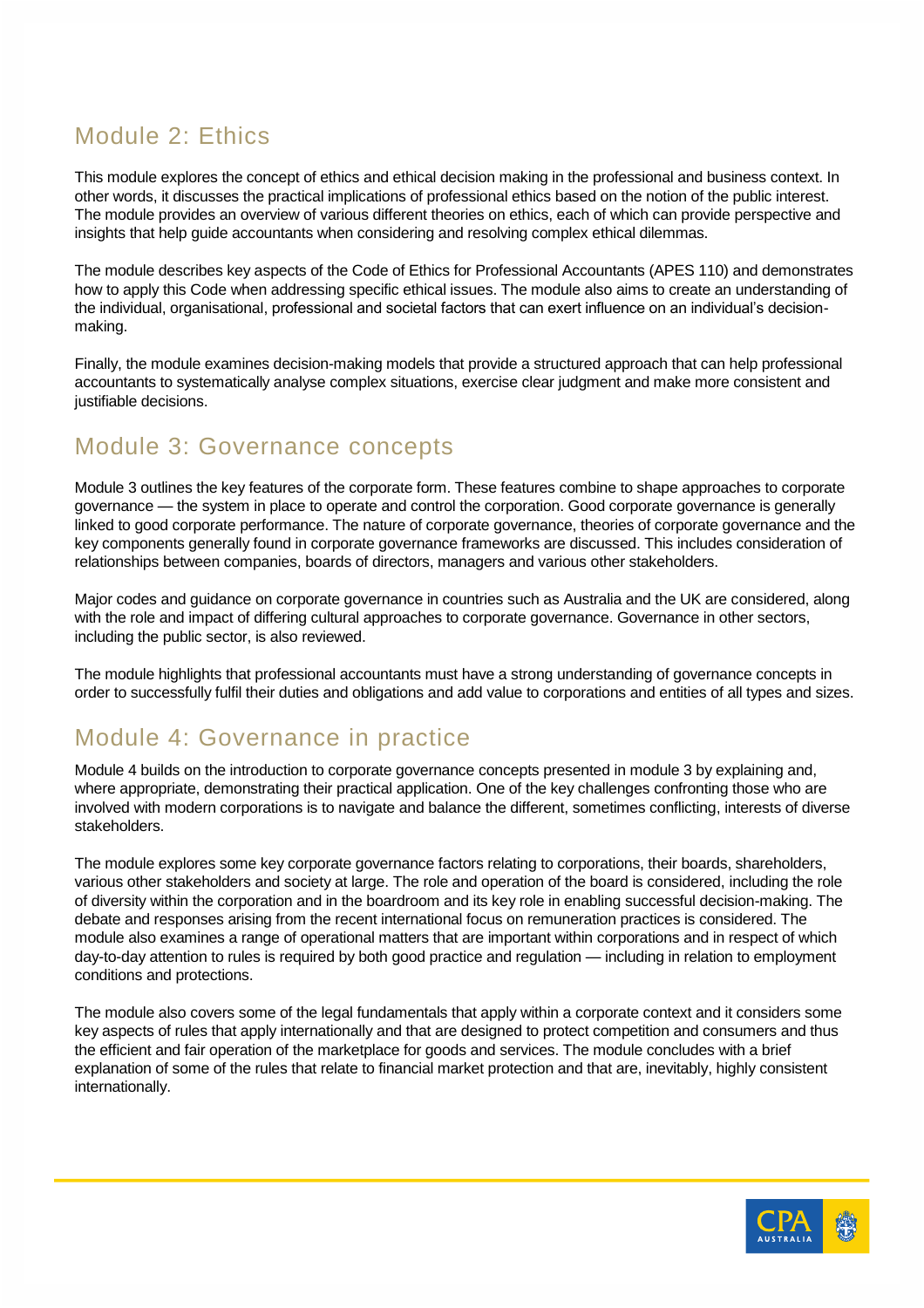# Module 2: Ethics

This module explores the concept of ethics and ethical decision making in the professional and business context. In other words, it discusses the practical implications of professional ethics based on the notion of the public interest. The module provides an overview of various different theories on ethics, each of which can provide perspective and insights that help guide accountants when considering and resolving complex ethical dilemmas.

The module describes key aspects of the Code of Ethics for Professional Accountants (APES 110) and demonstrates how to apply this Code when addressing specific ethical issues. The module also aims to create an understanding of the individual, organisational, professional and societal factors that can exert influence on an individual's decisionmaking.

Finally, the module examines decision-making models that provide a structured approach that can help professional accountants to systematically analyse complex situations, exercise clear judgment and make more consistent and justifiable decisions.

#### Module 3: Governance concepts

Module 3 outlines the key features of the corporate form. These features combine to shape approaches to corporate governance — the system in place to operate and control the corporation. Good corporate governance is generally linked to good corporate performance. The nature of corporate governance, theories of corporate governance and the key components generally found in corporate governance frameworks are discussed. This includes consideration of relationships between companies, boards of directors, managers and various other stakeholders.

Major codes and guidance on corporate governance in countries such as Australia and the UK are considered, along with the role and impact of differing cultural approaches to corporate governance. Governance in other sectors, including the public sector, is also reviewed.

The module highlights that professional accountants must have a strong understanding of governance concepts in order to successfully fulfil their duties and obligations and add value to corporations and entities of all types and sizes.

#### Module 4: Governance in practice

Module 4 builds on the introduction to corporate governance concepts presented in module 3 by explaining and, where appropriate, demonstrating their practical application. One of the key challenges confronting those who are involved with modern corporations is to navigate and balance the different, sometimes conflicting, interests of diverse stakeholders.

The module explores some key corporate governance factors relating to corporations, their boards, shareholders, various other stakeholders and society at large. The role and operation of the board is considered, including the role of diversity within the corporation and in the boardroom and its key role in enabling successful decision-making. The debate and responses arising from the recent international focus on remuneration practices is considered. The module also examines a range of operational matters that are important within corporations and in respect of which day-to-day attention to rules is required by both good practice and regulation — including in relation to employment conditions and protections.

The module also covers some of the legal fundamentals that apply within a corporate context and it considers some key aspects of rules that apply internationally and that are designed to protect competition and consumers and thus the efficient and fair operation of the marketplace for goods and services. The module concludes with a brief explanation of some of the rules that relate to financial market protection and that are, inevitably, highly consistent internationally.